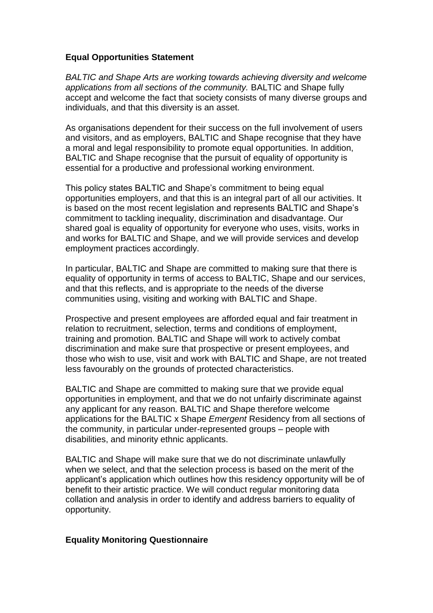## **Equal Opportunities Statement**

*BALTIC and Shape Arts are working towards achieving diversity and welcome applications from all sections of the community.* BALTIC and Shape fully accept and welcome the fact that society consists of many diverse groups and individuals, and that this diversity is an asset.

As organisations dependent for their success on the full involvement of users and visitors, and as employers, BALTIC and Shape recognise that they have a moral and legal responsibility to promote equal opportunities. In addition, BALTIC and Shape recognise that the pursuit of equality of opportunity is essential for a productive and professional working environment.

This policy states BALTIC and Shape's commitment to being equal opportunities employers, and that this is an integral part of all our activities. It is based on the most recent legislation and represents BALTIC and Shape's commitment to tackling inequality, discrimination and disadvantage. Our shared goal is equality of opportunity for everyone who uses, visits, works in and works for BALTIC and Shape, and we will provide services and develop employment practices accordingly.

In particular, BALTIC and Shape are committed to making sure that there is equality of opportunity in terms of access to BALTIC, Shape and our services, and that this reflects, and is appropriate to the needs of the diverse communities using, visiting and working with BALTIC and Shape.

Prospective and present employees are afforded equal and fair treatment in relation to recruitment, selection, terms and conditions of employment, training and promotion. BALTIC and Shape will work to actively combat discrimination and make sure that prospective or present employees, and those who wish to use, visit and work with BALTIC and Shape, are not treated less favourably on the grounds of protected characteristics.

BALTIC and Shape are committed to making sure that we provide equal opportunities in employment, and that we do not unfairly discriminate against any applicant for any reason. BALTIC and Shape therefore welcome applications for the BALTIC x Shape *Emergent* Residency from all sections of the community, in particular under-represented groups – people with disabilities, and minority ethnic applicants.

BALTIC and Shape will make sure that we do not discriminate unlawfully when we select, and that the selection process is based on the merit of the applicant's application which outlines how this residency opportunity will be of benefit to their artistic practice. We will conduct regular monitoring data collation and analysis in order to identify and address barriers to equality of opportunity.

## **Equality Monitoring Questionnaire**